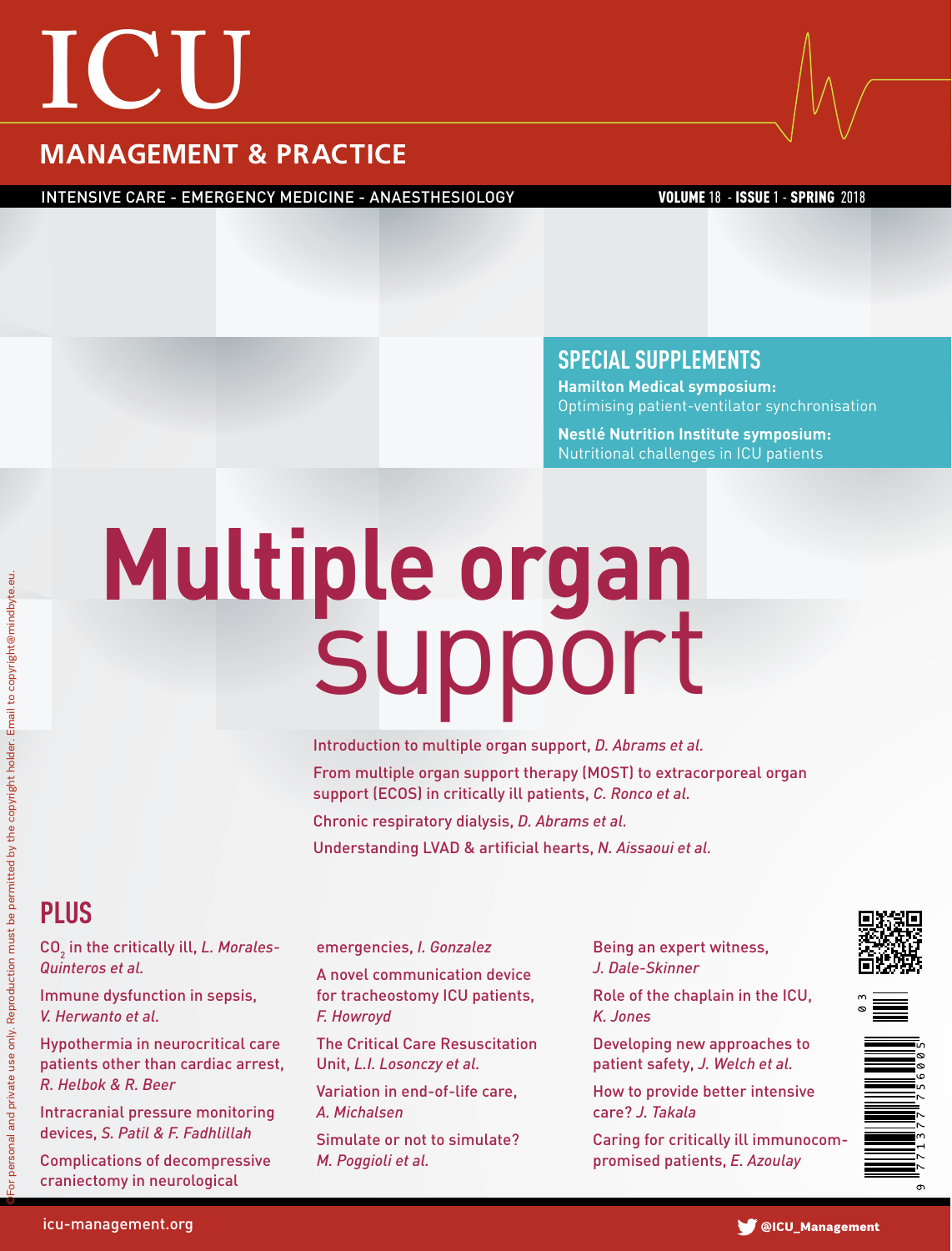# **ICU**

### **MANAGEMENT & PRACTICE**

INTENSIVE CARE - EMERGENCY MEDICINE - ANAESTHESIOLOGY VOLUME 18 - ISSUE 1 - SPRING 2018

#### **SPECIAL SUPPLEMENTS**

**Hamilton Medical symposium:** Optimising patient-ventilator synchronisation

**Nestlé Nutrition Institute symposium:** Nutritional challenges in ICU patients

# **Multiple organ** support

Introduction to multiple organ support, *D. Abrams et al.* From multiple organ support therapy (MOST) to extracorporeal organ support (ECOS) in critically ill patients, *C. Ronco et al.* Chronic respiratory dialysis, *D. Abrams et al.*

Understanding LVAD & artificial hearts, *N. Aissaoui et al.*

## **Plus**

©For personal and private use only. Reproduction must be permitted by the copyright holder. Email to copyright@mindbyte.eu.personal and private use only. Reproduction must be permitted by the copyright holder. Email to copyright@mindbyte.eu

CO<sub>2</sub> in the critically ill, L. Morales-*Quinteros et al.*

Immune dysfunction in sepsis, *V. Herwanto et al.*

Hypothermia in neurocritical care patients other than cardiac arrest, *R. Helbok & R. Beer* 

Intracranial pressure monitoring devices, *S. Patil & F. Fadhlillah*

Complications of decompressive craniectomy in neurological

#### emergencies, *I. Gonzalez*

A novel communication device for tracheostomy ICU patients, *F. Howroyd*

The Critical Care Resuscitation Unit, *L.I. Losonczy et al.*

Variation in end-of-life care, *A. Michalsen*

Simulate or not to simulate? *M. Poggioli et al.*

Being an expert witness, *J. Dale-Skinner*

Role of the chaplain in the ICU, *K. Jones*

Developing new approaches to patient safety, *J. Welch et al.*

How to provide better intensive care? *J. Takala*

Caring for critically ill immunocompromised patients, *E. Azoulay*





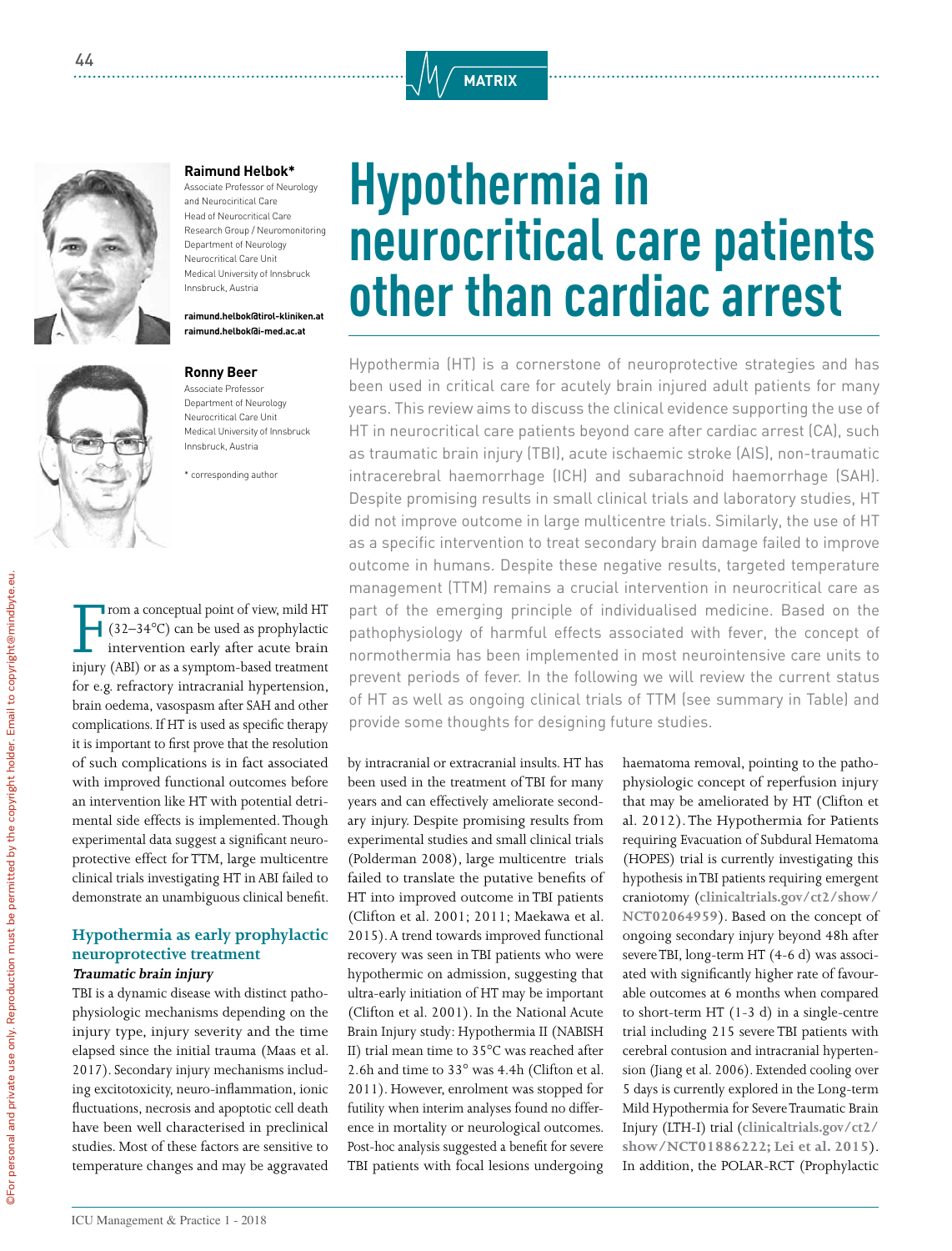



#### **Raimund Helbok\***

Associate Professor of Neurology and Neurociritical Care Head of Neurocritical Care Research Group / Neuromonitoring Department of Neurology Neurocritical Care Unit Medical University of Innsbruck Innsbruck, Austria

**raimund.helbok@tirol-kliniken.at raimund.helbok@i-med.ac.at**

#### **Ronny Beer**

Associate Professor Department of Neurology Neurocritical Care Unit Medical University of Innsbruck Innsbruck, Austria

\* corresponding author

From a conceptual point of view, mild HT (32–34°C) can be used as prophylactic intervention early after acute brain injury (ABI) or as a symptom-based treatment rom a conceptual point of view, mild HT  $(32-34\degree C)$  can be used as prophylactic intervention early after acute brain for e.g. refractory intracranial hypertension, brain oedema, vasospasm after SAH and other complications. If HT is used as specific therapy it is important to first prove that the resolution of such complications is in fact associated with improved functional outcomes before an intervention like HT with potential detrimental side effects is implemented. Though experimental data suggest a significant neuroprotective effect for TTM, large multicentre clinical trials investigating HT in ABI failed to demonstrate an unambiguous clinical benefit.

#### **Hypothermia as early prophylactic neuroprotective treatment Traumatic brain injury**

TBI is a dynamic disease with distinct pathophysiologic mechanisms depending on the injury type, injury severity and the time elapsed since the initial trauma (Maas et al. 2017). Secondary injury mechanisms including excitotoxicity, neuro-inflammation, ionic fluctuations, necrosis and apoptotic cell death have been well characterised in preclinical studies. Most of these factors are sensitive to temperature changes and may be aggravated

# **Hypothermia in neurocritical care patients other than cardiac arrest**

Hypothermia (HT) is a cornerstone of neuroprotective strategies and has been used in critical care for acutely brain injured adult patients for many years. This review aims to discuss the clinical evidence supporting the use of HT in neurocritical care patients beyond care after cardiac arrest (CA), such as traumatic brain injury (TBI), acute ischaemic stroke (AIS), non-traumatic intracerebral haemorrhage (ICH) and subarachnoid haemorrhage (SAH). Despite promising results in small clinical trials and laboratory studies, HT did not improve outcome in large multicentre trials. Similarly, the use of HT as a specific intervention to treat secondary brain damage failed to improve outcome in humans. Despite these negative results, targeted temperature management (TTM) remains a crucial intervention in neurocritical care as part of the emerging principle of individualised medicine. Based on the pathophysiology of harmful effects associated with fever, the concept of normothermia has been implemented in most neurointensive care units to prevent periods of fever. In the following we will review the current status of HT as well as ongoing clinical trials of TTM (see summary in Table) and provide some thoughts for designing future studies.

by intracranial or extracranial insults. HT has been used in the treatment of TBI for many years and can effectively ameliorate secondary injury. Despite promising results from experimental studies and small clinical trials (Polderman 2008), large multicentre trials failed to translate the putative benefits of HT into improved outcome in TBI patients (Clifton et al. 2001; 2011; Maekawa et al. 2015). A trend towards improved functional recovery was seen in TBI patients who were hypothermic on admission, suggesting that ultra-early initiation of HT may be important (Clifton et al. 2001). In the National Acute Brain Injury study: Hypothermia II (NABISH II) trial mean time to 35°C was reached after 2.6h and time to 33° was 4.4h (Clifton et al. 2011). However, enrolment was stopped for futility when interim analyses found no difference in mortality or neurological outcomes. Post-hoc analysis suggested a benefit for severe TBI patients with focal lesions undergoing

haematoma removal, pointing to the pathophysiologic concept of reperfusion injury that may be ameliorated by HT (Clifton et al. 2012). The Hypothermia for Patients requiring Evacuation of Subdural Hematoma (HOPES) trial is currently investigating this hypothesis in TBI patients requiring emergent craniotomy (**clinicaltrials.gov/ct2/show/ NCT02064959**). Based on the concept of ongoing secondary injury beyond 48h after severe TBI, long-term HT (4-6 d) was associated with significantly higher rate of favourable outcomes at 6 months when compared to short-term HT (1-3 d) in a single-centre trial including 215 severe TBI patients with cerebral contusion and intracranial hypertension (Jiang et al. 2006). Extended cooling over 5 days is currently explored in the Long-term Mild Hypothermia for Severe Traumatic Brain Injury (LTH-I) trial (**clinicaltrials.gov/ct2/ show/NCT01886222; Lei et al. 2015**). In addition, the POLAR-RCT (Prophylactic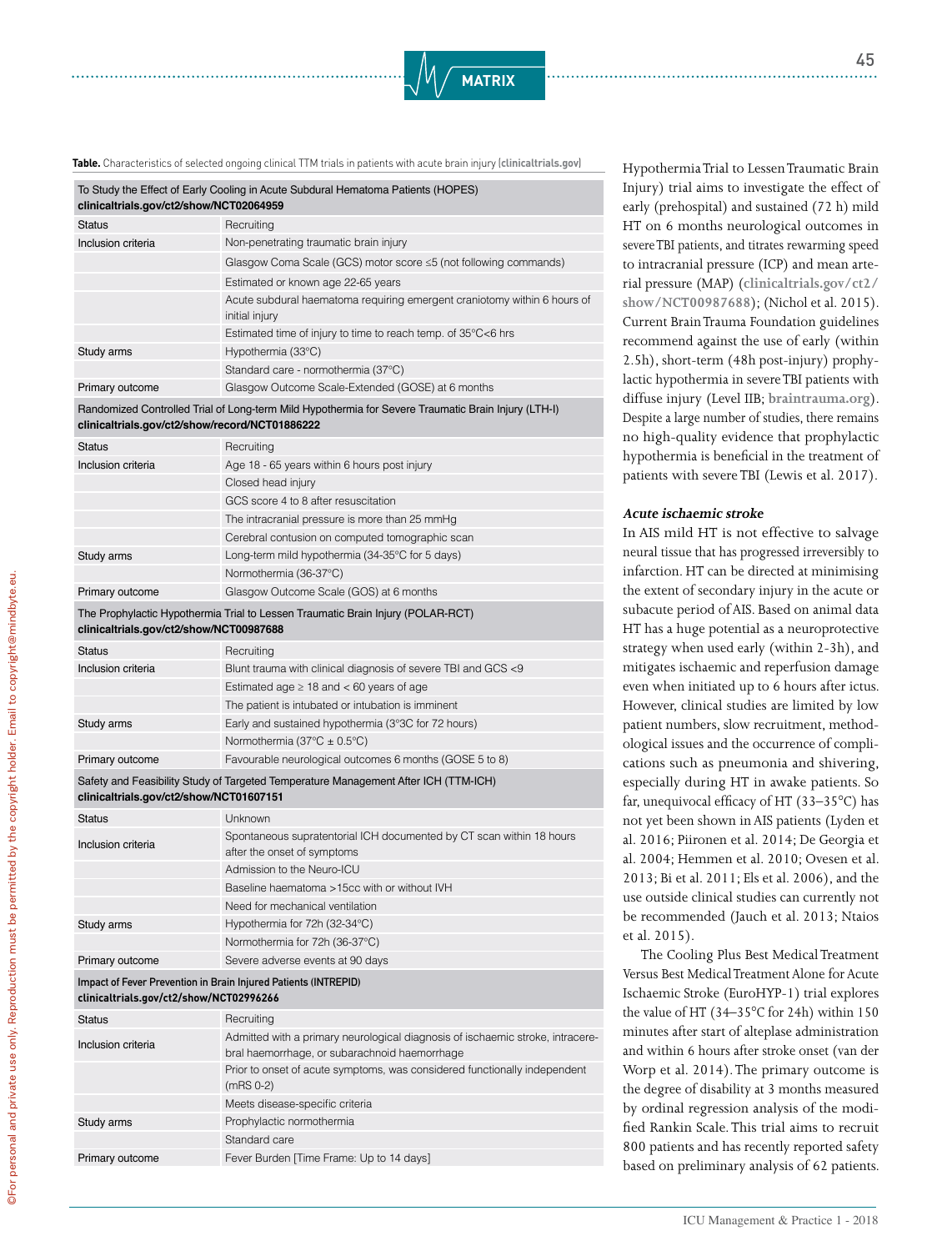

**Table.** Characteristics of selected ongoing clinical TTM trials in patients with acute brain injury (**clinicaltrials.gov**)

| To Study the Effect of Early Cooling in Acute Subdural Hematoma Patients (HOPES)<br>clinicaltrials.gov/ct2/show/NCT02064959 |                                                                                            |  |
|-----------------------------------------------------------------------------------------------------------------------------|--------------------------------------------------------------------------------------------|--|
| <b>Status</b>                                                                                                               | Recruiting                                                                                 |  |
| Inclusion criteria                                                                                                          | Non-penetrating traumatic brain injury                                                     |  |
|                                                                                                                             | Glasgow Coma Scale (GCS) motor score $\leq$ 5 (not following commands)                     |  |
|                                                                                                                             | Estimated or known age 22-65 years                                                         |  |
|                                                                                                                             | Acute subdural haematoma requiring emergent craniotomy within 6 hours of<br>initial injury |  |
|                                                                                                                             | Estimated time of injury to time to reach temp. of 35°C<6 hrs                              |  |
| Study arms                                                                                                                  | Hypothermia (33°C)                                                                         |  |
|                                                                                                                             | Standard care - normothermia (37°C)                                                        |  |
| Primary outcome                                                                                                             | Glasgow Outcome Scale-Extended (GOSE) at 6 months                                          |  |
|                                                                                                                             |                                                                                            |  |

#### Randomized Controlled Trial of Long-term Mild Hypothermia for Severe Traumatic Brain Injury (LTH-Ⅰ) **clinicaltrials.gov/ct2/show/record/NCT01886222**

| <b>Status</b>      | Recruiting                                      |
|--------------------|-------------------------------------------------|
| Inclusion criteria | Age 18 - 65 years within 6 hours post injury    |
|                    | Closed head injury                              |
|                    | GCS score 4 to 8 after resuscitation            |
|                    | The intracranial pressure is more than 25 mmHg  |
|                    | Cerebral contusion on computed tomographic scan |
| Study arms         | Long-term mild hypothermia (34-35°C for 5 days) |
|                    | Normothermia (36-37°C)                          |
| Primary outcome    | Glasgow Outcome Scale (GOS) at 6 months         |
|                    |                                                 |

#### The Prophylactic Hypothermia Trial to Lessen Traumatic Brain Injury (POLAR-RCT) **clinicaltrials.gov/ct2/show/NCT00987688**

| Status                                                                              | Recruiting                                                    |  |
|-------------------------------------------------------------------------------------|---------------------------------------------------------------|--|
| Inclusion criteria                                                                  | Blunt trauma with clinical diagnosis of severe TBI and GCS <9 |  |
|                                                                                     | Estimated age $\geq$ 18 and $\lt$ 60 years of age             |  |
|                                                                                     | The patient is intubated or intubation is imminent            |  |
| Study arms                                                                          | Early and sustained hypothermia (3°3C for 72 hours)           |  |
|                                                                                     | Normothermia (37 $\textdegree$ C $\pm$ 0.5 $\textdegree$ C)   |  |
| Primary outcome                                                                     | Favourable neurological outcomes 6 months (GOSE 5 to 8)       |  |
| Safety and Feasibility Study of Targeted Temperature Management After ICH (TTM-ICH) |                                                               |  |

#### **clinicaltrials.gov/ct2/show/NCT01607151**

| <b>Status</b>      | <b>Unknown</b>                                                                                      |
|--------------------|-----------------------------------------------------------------------------------------------------|
| Inclusion criteria | Spontaneous supratentorial ICH documented by CT scan within 18 hours<br>after the onset of symptoms |
|                    | Admission to the Neuro-ICU                                                                          |
|                    | Baseline haematoma > 15cc with or without IVH                                                       |
|                    | Need for mechanical ventilation                                                                     |
| Study arms         | Hypothermia for 72h (32-34°C)                                                                       |
|                    | Normothermia for 72h (36-37°C)                                                                      |
| Primary outcome    | Severe adverse events at 90 days                                                                    |

#### **Impact of Fever Prevention in Brain Injured Patients (INTREPID) clinicaltrials.gov/ct2/show/NCT02996266**

| Status             | Recruiting                                                                                                                      |
|--------------------|---------------------------------------------------------------------------------------------------------------------------------|
| Inclusion criteria | Admitted with a primary neurological diagnosis of ischaemic stroke, intracere-<br>bral haemorrhage, or subarachnoid haemorrhage |
|                    | Prior to onset of acute symptoms, was considered functionally independent<br>$(mRS 0-2)$                                        |
|                    | Meets disease-specific criteria                                                                                                 |
| Study arms         | Prophylactic normothermia                                                                                                       |
|                    | Standard care                                                                                                                   |
| Primary outcome    | Fever Burden [Time Frame: Up to 14 days]                                                                                        |
|                    |                                                                                                                                 |

Hypothermia Trial to Lessen Traumatic Brain Injury) trial aims to investigate the effect of early (prehospital) and sustained (72 h) mild HT on 6 months neurological outcomes in severe TBI patients, and titrates rewarming speed to intracranial pressure (ICP) and mean arterial pressure (MAP) (**clinicaltrials.gov/ct2/ show/NCT00987688**); (Nichol et al. 2015). Current Brain Trauma Foundation guidelines recommend against the use of early (within 2.5h), short-term (48h post-injury) prophylactic hypothermia in severe TBI patients with diffuse injury (Level IIB; **braintrauma.org**). Despite a large number of studies, there remains no high-quality evidence that prophylactic hypothermia is beneficial in the treatment of patients with severe TBI (Lewis et al. 2017).

#### **Acute ischaemic stroke**

In AIS mild HT is not effective to salvage neural tissue that has progressed irreversibly to infarction. HT can be directed at minimising the extent of secondary injury in the acute or subacute period of AIS. Based on animal data HT has a huge potential as a neuroprotective strategy when used early (within 2-3h), and mitigates ischaemic and reperfusion damage even when initiated up to 6 hours after ictus. However, clinical studies are limited by low patient numbers, slow recruitment, methodological issues and the occurrence of complications such as pneumonia and shivering, especially during HT in awake patients. So far, unequivocal efficacy of HT (33–35°C) has not yet been shown in AIS patients (Lyden et al. 2016; Piironen et al. 2014; De Georgia et al. 2004; Hemmen et al. 2010; Ovesen et al. 2013; Bi et al. 2011; Els et al. 2006), and the use outside clinical studies can currently not be recommended (Jauch et al. 2013; Ntaios et al. 2015).

The Cooling Plus Best Medical Treatment Versus Best Medical Treatment Alone for Acute Ischaemic Stroke (EuroHYP-1) trial explores the value of HT (34–35°C for 24h) within 150 minutes after start of alteplase administration and within 6 hours after stroke onset (van der Worp et al. 2014). The primary outcome is the degree of disability at 3 months measured by ordinal regression analysis of the modified Rankin Scale. This trial aims to recruit 800 patients and has recently reported safety based on preliminary analysis of 62 patients.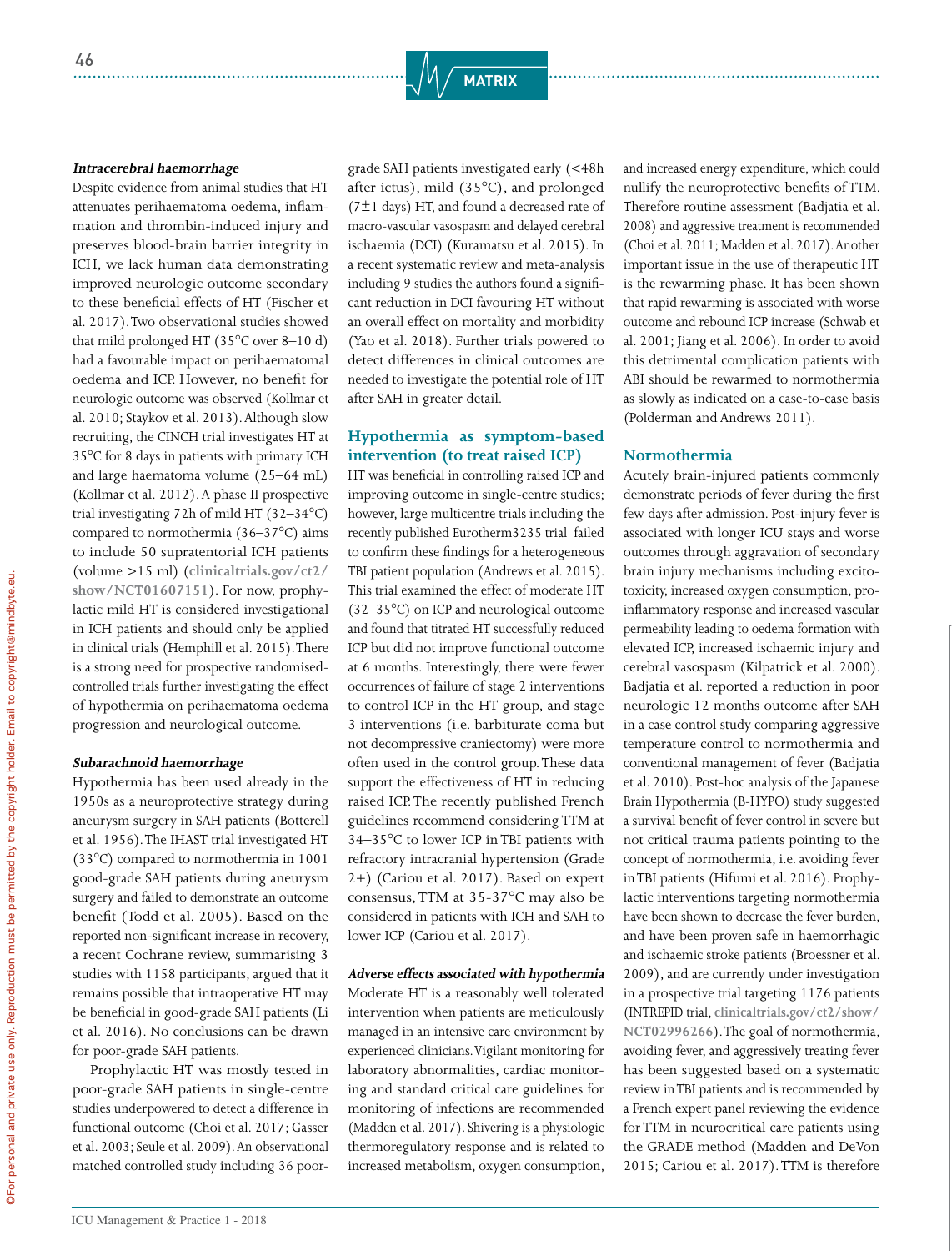#### **Intracerebral haemorrhage**

Despite evidence from animal studies that HT attenuates perihaematoma oedema, inflammation and thrombin-induced injury and preserves blood-brain barrier integrity in ICH, we lack human data demonstrating improved neurologic outcome secondary to these beneficial effects of HT (Fischer et al. 2017). Two observational studies showed that mild prolonged HT (35°C over 8–10 d) had a favourable impact on perihaematomal oedema and ICP. However, no benefit for neurologic outcome was observed (Kollmar et al. 2010; Staykov et al. 2013). Although slow recruiting, the CINCH trial investigates HT at 35°C for 8 days in patients with primary ICH and large haematoma volume (25–64 mL) (Kollmar et al. 2012). A phase II prospective trial investigating 72h of mild HT (32–34°C) compared to normothermia (36–37°C) aims to include 50 supratentorial ICH patients (volume >15 ml) (**clinicaltrials.gov/ct2/ show/NCT01607151**). For now, prophylactic mild HT is considered investigational in ICH patients and should only be applied in clinical trials (Hemphill et al. 2015). There is a strong need for prospective randomisedcontrolled trials further investigating the effect of hypothermia on perihaematoma oedema progression and neurological outcome.

#### **Subarachnoid haemorrhage**

Hypothermia has been used already in the 1950s as a neuroprotective strategy during aneurysm surgery in SAH patients (Botterell et al. 1956). The IHAST trial investigated HT (33°C) compared to normothermia in 1001 good-grade SAH patients during aneurysm surgery and failed to demonstrate an outcome benefit (Todd et al. 2005). Based on the reported non-significant increase in recovery, a recent Cochrane review, summarising 3 studies with 1158 participants, argued that it remains possible that intraoperative HT may be beneficial in good-grade SAH patients (Li et al. 2016). No conclusions can be drawn for poor-grade SAH patients.

Prophylactic HT was mostly tested in poor-grade SAH patients in single-centre studies underpowered to detect a difference in functional outcome (Choi et al. 2017; Gasser et al. 2003; Seule et al. 2009). An observational matched controlled study including 36 poorgrade SAH patients investigated early (<48h after ictus), mild (35°C), and prolonged ( $7±1$  days) HT, and found a decreased rate of macro-vascular vasospasm and delayed cerebral ischaemia (DCI) (Kuramatsu et al. 2015). In a recent systematic review and meta-analysis including 9 studies the authors found a significant reduction in DCI favouring HT without an overall effect on mortality and morbidity (Yao et al. 2018). Further trials powered to detect differences in clinical outcomes are needed to investigate the potential role of HT after SAH in greater detail.

#### **Hypothermia as symptom-based intervention (to treat raised ICP)**

HT was beneficial in controlling raised ICP and improving outcome in single-centre studies; however, large multicentre trials including the recently published Eurotherm3235 trial failed to confirm these findings for a heterogeneous TBI patient population (Andrews et al. 2015). This trial examined the effect of moderate HT (32–35°C) on ICP and neurological outcome and found that titrated HT successfully reduced ICP but did not improve functional outcome at 6 months. Interestingly, there were fewer occurrences of failure of stage 2 interventions to control ICP in the HT group, and stage 3 interventions (i.e. barbiturate coma but not decompressive craniectomy) were more often used in the control group. These data support the effectiveness of HT in reducing raised ICP. The recently published French guidelines recommend considering TTM at 34–35°C to lower ICP in TBI patients with refractory intracranial hypertension (Grade 2+) (Cariou et al. 2017). Based on expert consensus, TTM at 35-37°C may also be considered in patients with ICH and SAH to lower ICP (Cariou et al. 2017).

#### **Adverse effects associated with hypothermia**

Moderate HT is a reasonably well tolerated intervention when patients are meticulously managed in an intensive care environment by experienced clinicians. Vigilant monitoring for laboratory abnormalities, cardiac monitoring and standard critical care guidelines for monitoring of infections are recommended (Madden et al. 2017). Shivering is a physiologic thermoregulatory response and is related to increased metabolism, oxygen consumption,

and increased energy expenditure, which could nullify the neuroprotective benefits of TTM. Therefore routine assessment (Badjatia et al. 2008) and aggressive treatment is recommended (Choi et al. 2011; Madden et al. 2017). Another important issue in the use of therapeutic HT is the rewarming phase. It has been shown that rapid rewarming is associated with worse outcome and rebound ICP increase (Schwab et al. 2001; Jiang et al. 2006). In order to avoid this detrimental complication patients with ABI should be rewarmed to normothermia as slowly as indicated on a case-to-case basis (Polderman and Andrews 2011).

#### **Normothermia**

Acutely brain-injured patients commonly demonstrate periods of fever during the first few days after admission. Post-injury fever is associated with longer ICU stays and worse outcomes through aggravation of secondary brain injury mechanisms including excitotoxicity, increased oxygen consumption, proinflammatory response and increased vascular permeability leading to oedema formation with elevated ICP, increased ischaemic injury and cerebral vasospasm (Kilpatrick et al. 2000). Badjatia et al. reported a reduction in poor neurologic 12 months outcome after SAH in a case control study comparing aggressive temperature control to normothermia and conventional management of fever (Badjatia et al. 2010). Post-hoc analysis of the Japanese Brain Hypothermia (B-HYPO) study suggested a survival benefit of fever control in severe but not critical trauma patients pointing to the concept of normothermia, i.e. avoiding fever in TBI patients (Hifumi et al. 2016). Prophylactic interventions targeting normothermia have been shown to decrease the fever burden, and have been proven safe in haemorrhagic and ischaemic stroke patients (Broessner et al. 2009), and are currently under investigation in a prospective trial targeting 1176 patients (INTREPID trial, **clinicaltrials.gov/ct2/show/ NCT02996266**). The goal of normothermia, avoiding fever, and aggressively treating fever has been suggested based on a systematic review in TBI patients and is recommended by a French expert panel reviewing the evidence for TTM in neurocritical care patients using the GRADE method (Madden and DeVon 2015; Cariou et al. 2017). TTM is therefore